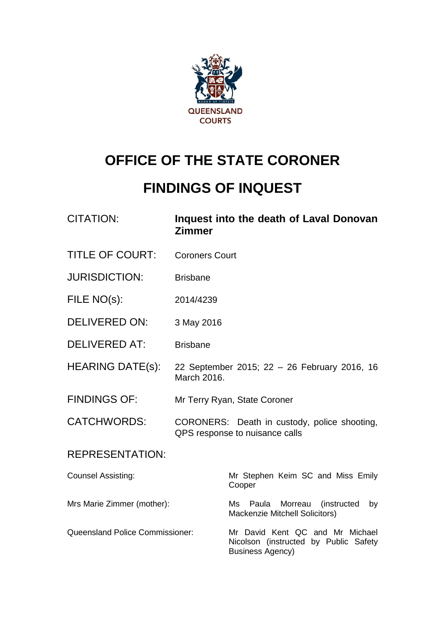

# **OFFICE OF THE STATE CORONER**

# **FINDINGS OF INQUEST**

| <b>CITATION:</b>                       | Zimmer                | Inquest into the death of Laval Donovan                                                             |
|----------------------------------------|-----------------------|-----------------------------------------------------------------------------------------------------|
| <b>TITLE OF COURT:</b>                 | <b>Coroners Court</b> |                                                                                                     |
| <b>JURISDICTION:</b>                   | <b>Brisbane</b>       |                                                                                                     |
| FILE NO(s):                            | 2014/4239             |                                                                                                     |
| <b>DELIVERED ON:</b>                   | 3 May 2016            |                                                                                                     |
| <b>DELIVERED AT:</b>                   | <b>Brisbane</b>       |                                                                                                     |
| <b>HEARING DATE(s):</b>                | March 2016.           | 22 September 2015; 22 - 26 February 2016, 16                                                        |
| <b>FINDINGS OF:</b>                    |                       | Mr Terry Ryan, State Coroner                                                                        |
| <b>CATCHWORDS:</b>                     |                       | CORONERS: Death in custody, police shooting,<br>QPS response to nuisance calls                      |
| <b>REPRESENTATION:</b>                 |                       |                                                                                                     |
| <b>Counsel Assisting:</b>              |                       | Mr Stephen Keim SC and Miss Emily<br>Cooper                                                         |
| Mrs Marie Zimmer (mother):             |                       | Morreau<br>(instructed<br>Ms<br>Paula<br>by<br>Mackenzie Mitchell Solicitors)                       |
| <b>Queensland Police Commissioner:</b> |                       | Mr David Kent QC and Mr Michael<br>Nicolson (instructed by Public Safety<br><b>Business Agency)</b> |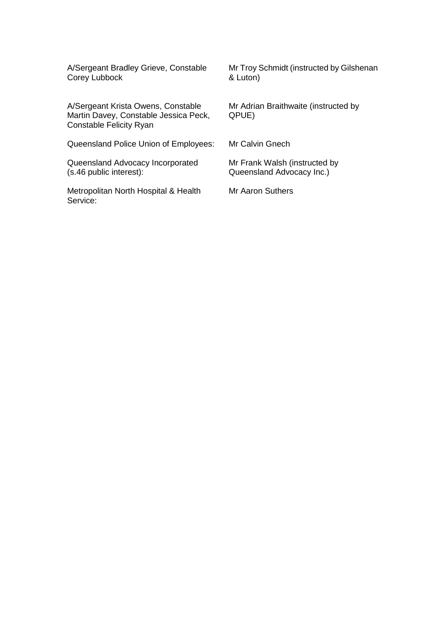Corey Lubbock

A/Sergeant Krista Owens, Constable Mr Adrian Braithwaite (instructed by Martin Davey, Constable Jessica Peck, QPUE) Constable Felicity Ryan

Queensland Police Union of Employees: Mr Calvin Gnech

Queensland Advocacy Incorporated Mr Frank Walsh (instructed by (s.46 public interest): Queensland Advocacy Inc.)

Metropolitan North Hospital & Health Mr Aaron Suthers Service:

A/Sergeant Bradley Grieve, Constable Mr Troy Schmidt (instructed by Gilshenan Corey Lubbock 6 and Mr Troy Schmidt (instructed by Gilshenan

Queensland Advocacy Inc.)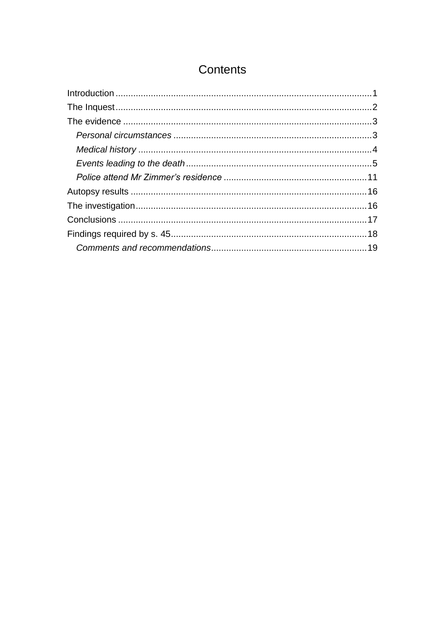# Contents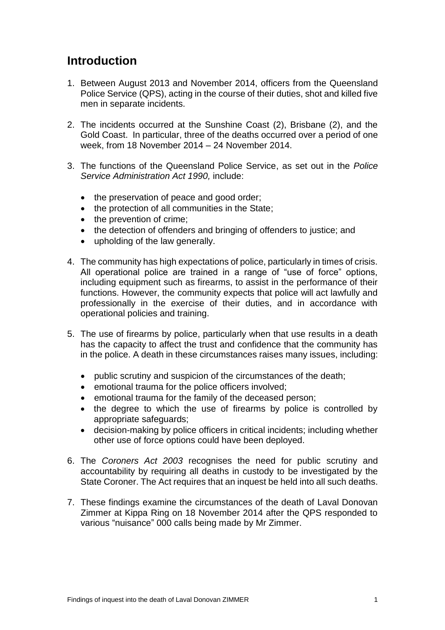## <span id="page-3-0"></span>**Introduction**

- 1. Between August 2013 and November 2014, officers from the Queensland Police Service (QPS), acting in the course of their duties, shot and killed five men in separate incidents.
- 2. The incidents occurred at the Sunshine Coast (2), Brisbane (2), and the Gold Coast. In particular, three of the deaths occurred over a period of one week, from 18 November 2014 – 24 November 2014.
- 3. The functions of the Queensland Police Service, as set out in the *Police Service Administration Act 1990,* include:
	- the preservation of peace and good order;
	- the protection of all communities in the State;
	- the prevention of crime;
	- the detection of offenders and bringing of offenders to justice; and
	- upholding of the law generally.
- 4. The community has high expectations of police, particularly in times of crisis. All operational police are trained in a range of "use of force" options, including equipment such as firearms, to assist in the performance of their functions. However, the community expects that police will act lawfully and professionally in the exercise of their duties, and in accordance with operational policies and training.
- 5. The use of firearms by police, particularly when that use results in a death has the capacity to affect the trust and confidence that the community has in the police. A death in these circumstances raises many issues, including:
	- public scrutiny and suspicion of the circumstances of the death;
	- emotional trauma for the police officers involved;
	- emotional trauma for the family of the deceased person;
	- the degree to which the use of firearms by police is controlled by appropriate safeguards;
	- decision-making by police officers in critical incidents; including whether other use of force options could have been deployed.
- 6. The *Coroners Act 2003* recognises the need for public scrutiny and accountability by requiring all deaths in custody to be investigated by the State Coroner. The Act requires that an inquest be held into all such deaths.
- 7. These findings examine the circumstances of the death of Laval Donovan Zimmer at Kippa Ring on 18 November 2014 after the QPS responded to various "nuisance" 000 calls being made by Mr Zimmer.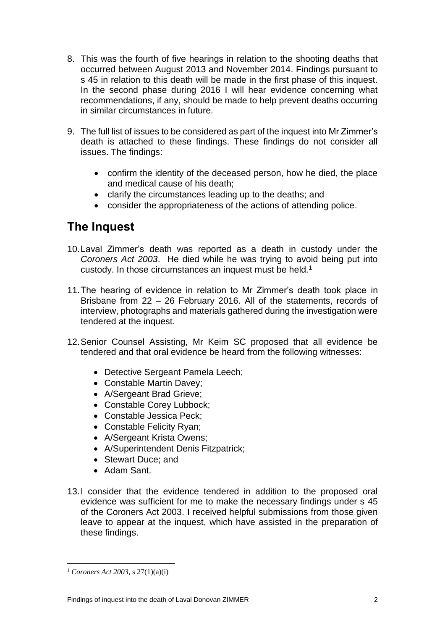- 8. This was the fourth of five hearings in relation to the shooting deaths that occurred between August 2013 and November 2014. Findings pursuant to s 45 in relation to this death will be made in the first phase of this inquest. In the second phase during 2016 I will hear evidence concerning what recommendations, if any, should be made to help prevent deaths occurring in similar circumstances in future.
- 9. The full list of issues to be considered as part of the inquest into Mr Zimmer's death is attached to these findings. These findings do not consider all issues. The findings:
	- confirm the identity of the deceased person, how he died, the place and medical cause of his death;
	- clarify the circumstances leading up to the deaths; and
	- consider the appropriateness of the actions of attending police.

# <span id="page-4-0"></span>**The Inquest**

- 10.Laval Zimmer's death was reported as a death in custody under the *Coroners Act 2003*. He died while he was trying to avoid being put into custody. In those circumstances an inquest must be held.<sup>1</sup>
- 11.The hearing of evidence in relation to Mr Zimmer's death took place in Brisbane from 22 – 26 February 2016. All of the statements, records of interview, photographs and materials gathered during the investigation were tendered at the inquest.
- 12.Senior Counsel Assisting, Mr Keim SC proposed that all evidence be tendered and that oral evidence be heard from the following witnesses:
	- Detective Sergeant Pamela Leech;
	- Constable Martin Davey;
	- A/Sergeant Brad Grieve;
	- Constable Corey Lubbock;
	- Constable Jessica Peck;
	- Constable Felicity Ryan;
	- A/Sergeant Krista Owens;
	- A/Superintendent Denis Fitzpatrick;
	- Stewart Duce: and
	- Adam Sant.
- 13.I consider that the evidence tendered in addition to the proposed oral evidence was sufficient for me to make the necessary findings under s 45 of the Coroners Act 2003. I received helpful submissions from those given leave to appear at the inquest, which have assisted in the preparation of these findings.

<sup>1</sup> *Coroners Act 2003*, s 27(1)(a)(i)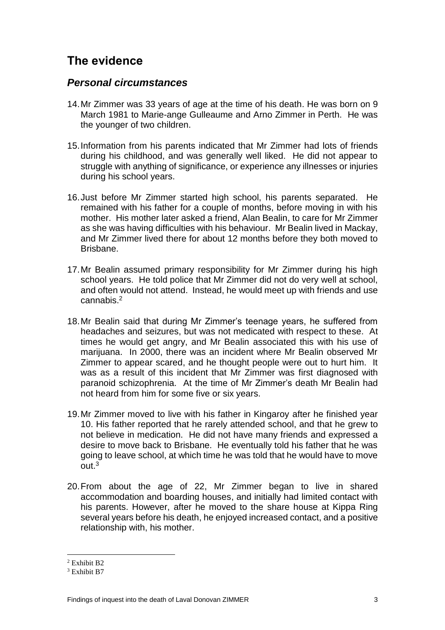# <span id="page-5-0"></span>**The evidence**

#### <span id="page-5-1"></span>*Personal circumstances*

- 14.Mr Zimmer was 33 years of age at the time of his death. He was born on 9 March 1981 to Marie-ange Gulleaume and Arno Zimmer in Perth. He was the younger of two children.
- 15.Information from his parents indicated that Mr Zimmer had lots of friends during his childhood, and was generally well liked. He did not appear to struggle with anything of significance, or experience any illnesses or injuries during his school years.
- 16.Just before Mr Zimmer started high school, his parents separated. He remained with his father for a couple of months, before moving in with his mother. His mother later asked a friend, Alan Bealin, to care for Mr Zimmer as she was having difficulties with his behaviour. Mr Bealin lived in Mackay, and Mr Zimmer lived there for about 12 months before they both moved to Brisbane.
- 17.Mr Bealin assumed primary responsibility for Mr Zimmer during his high school years. He told police that Mr Zimmer did not do very well at school, and often would not attend. Instead, he would meet up with friends and use cannabis. 2
- 18.Mr Bealin said that during Mr Zimmer's teenage years, he suffered from headaches and seizures, but was not medicated with respect to these. At times he would get angry, and Mr Bealin associated this with his use of marijuana. In 2000, there was an incident where Mr Bealin observed Mr Zimmer to appear scared, and he thought people were out to hurt him. It was as a result of this incident that Mr Zimmer was first diagnosed with paranoid schizophrenia. At the time of Mr Zimmer's death Mr Bealin had not heard from him for some five or six years.
- 19.Mr Zimmer moved to live with his father in Kingaroy after he finished year 10. His father reported that he rarely attended school, and that he grew to not believe in medication. He did not have many friends and expressed a desire to move back to Brisbane. He eventually told his father that he was going to leave school, at which time he was told that he would have to move out.<sup>3</sup>
- 20.From about the age of 22, Mr Zimmer began to live in shared accommodation and boarding houses, and initially had limited contact with his parents. However, after he moved to the share house at Kippa Ring several years before his death, he enjoyed increased contact, and a positive relationship with, his mother.

 $\overline{a}$  $2$  Exhibit B<sub>2</sub>

<sup>&</sup>lt;sup>3</sup> Exhibit B7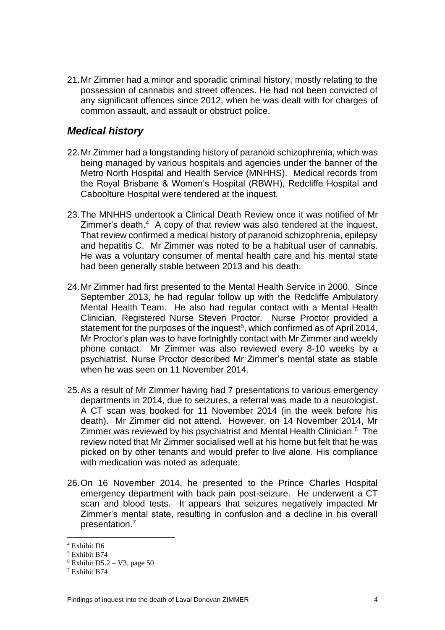21.Mr Zimmer had a minor and sporadic criminal history, mostly relating to the possession of cannabis and street offences. He had not been convicted of any significant offences since 2012, when he was dealt with for charges of common assault, and assault or obstruct police.

#### <span id="page-6-0"></span>*Medical history*

- 22.Mr Zimmer had a longstanding history of paranoid schizophrenia, which was being managed by various hospitals and agencies under the banner of the Metro North Hospital and Health Service (MNHHS). Medical records from the Royal Brisbane & Women's Hospital (RBWH), Redcliffe Hospital and Caboolture Hospital were tendered at the inquest.
- 23.The MNHHS undertook a Clinical Death Review once it was notified of Mr Zimmer's death.<sup>4</sup> A copy of that review was also tendered at the inquest. That review confirmed a medical history of paranoid schizophrenia, epilepsy and hepatitis C. Mr Zimmer was noted to be a habitual user of cannabis. He was a voluntary consumer of mental health care and his mental state had been generally stable between 2013 and his death.
- 24.Mr Zimmer had first presented to the Mental Health Service in 2000. Since September 2013, he had regular follow up with the Redcliffe Ambulatory Mental Health Team. He also had regular contact with a Mental Health Clinician, Registered Nurse Steven Proctor. Nurse Proctor provided a statement for the purposes of the inquest<sup>5</sup>, which confirmed as of April 2014, Mr Proctor's plan was to have fortnightly contact with Mr Zimmer and weekly phone contact. Mr Zimmer was also reviewed every 8-10 weeks by a psychiatrist. Nurse Proctor described Mr Zimmer's mental state as stable when he was seen on 11 November 2014.
- 25.As a result of Mr Zimmer having had 7 presentations to various emergency departments in 2014, due to seizures, a referral was made to a neurologist. A CT scan was booked for 11 November 2014 (in the week before his death). Mr Zimmer did not attend. However, on 14 November 2014, Mr Zimmer was reviewed by his psychiatrist and Mental Health Clinician.<sup>6</sup> The review noted that Mr Zimmer socialised well at his home but felt that he was picked on by other tenants and would prefer to live alone. His compliance with medication was noted as adequate.
- 26.On 16 November 2014, he presented to the Prince Charles Hospital emergency department with back pain post-seizure. He underwent a CT scan and blood tests. It appears that seizures negatively impacted Mr Zimmer's mental state, resulting in confusion and a decline in his overall presentation.<sup>7</sup>

<sup>4</sup> Exhibit D6

<sup>5</sup> Exhibit B74

 $6$  Exhibit D5.2 – V3, page 50

<sup>7</sup> Exhibit B74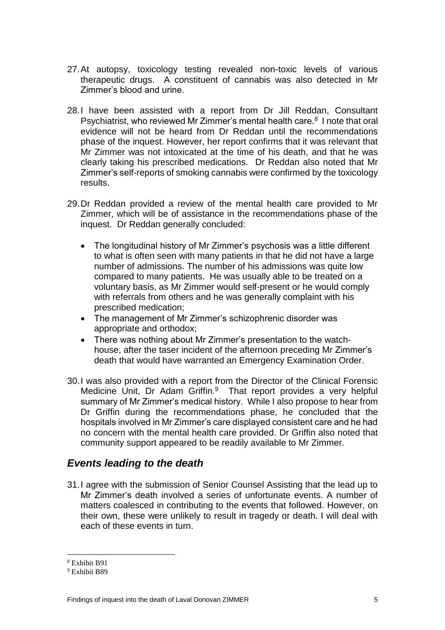- 27.At autopsy, toxicology testing revealed non-toxic levels of various therapeutic drugs. A constituent of cannabis was also detected in Mr Zimmer's blood and urine.
- 28.I have been assisted with a report from Dr Jill Reddan, Consultant Psychiatrist, who reviewed Mr Zimmer's mental health care.<sup>8</sup> I note that oral evidence will not be heard from Dr Reddan until the recommendations phase of the inquest. However, her report confirms that it was relevant that Mr Zimmer was not intoxicated at the time of his death, and that he was clearly taking his prescribed medications. Dr Reddan also noted that Mr Zimmer's self-reports of smoking cannabis were confirmed by the toxicology results.
- 29.Dr Reddan provided a review of the mental health care provided to Mr Zimmer, which will be of assistance in the recommendations phase of the inquest. Dr Reddan generally concluded:
	- The longitudinal history of Mr Zimmer's psychosis was a little different to what is often seen with many patients in that he did not have a large number of admissions. The number of his admissions was quite low compared to many patients. He was usually able to be treated on a voluntary basis, as Mr Zimmer would self-present or he would comply with referrals from others and he was generally complaint with his prescribed medication;
	- The management of Mr Zimmer's schizophrenic disorder was appropriate and orthodox;
	- There was nothing about Mr Zimmer's presentation to the watchhouse, after the taser incident of the afternoon preceding Mr Zimmer's death that would have warranted an Emergency Examination Order.
- 30.I was also provided with a report from the Director of the Clinical Forensic Medicine Unit, Dr Adam Griffin.<sup>9</sup> That report provides a very helpful summary of Mr Zimmer's medical history. While I also propose to hear from Dr Griffin during the recommendations phase, he concluded that the hospitals involved in Mr Zimmer's care displayed consistent care and he had no concern with the mental health care provided. Dr Griffin also noted that community support appeared to be readily available to Mr Zimmer.

#### <span id="page-7-0"></span>*Events leading to the death*

31.I agree with the submission of Senior Counsel Assisting that the lead up to Mr Zimmer's death involved a series of unfortunate events. A number of matters coalesced in contributing to the events that followed. However, on their own, these were unlikely to result in tragedy or death. I will deal with each of these events in turn.

<sup>8</sup> Exhibit B91

<sup>9</sup> Exhibit B89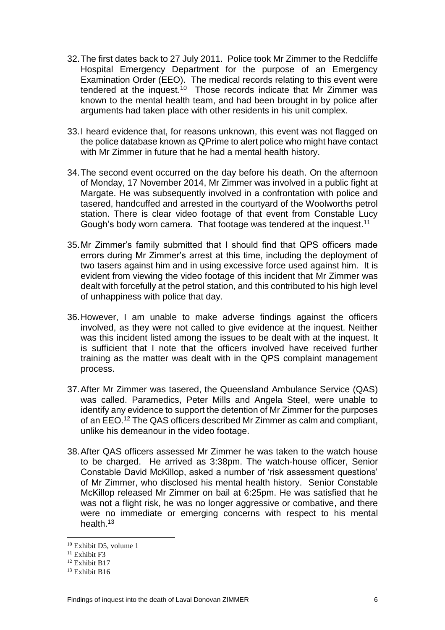- 32.The first dates back to 27 July 2011. Police took Mr Zimmer to the Redcliffe Hospital Emergency Department for the purpose of an Emergency Examination Order (EEO). The medical records relating to this event were tendered at the inquest.<sup>10</sup> Those records indicate that Mr Zimmer was known to the mental health team, and had been brought in by police after arguments had taken place with other residents in his unit complex.
- 33.I heard evidence that, for reasons unknown, this event was not flagged on the police database known as QPrime to alert police who might have contact with Mr Zimmer in future that he had a mental health history.
- 34.The second event occurred on the day before his death. On the afternoon of Monday, 17 November 2014, Mr Zimmer was involved in a public fight at Margate. He was subsequently involved in a confrontation with police and tasered, handcuffed and arrested in the courtyard of the Woolworths petrol station. There is clear video footage of that event from Constable Lucy Gough's body worn camera. That footage was tendered at the inquest.<sup>11</sup>
- 35.Mr Zimmer's family submitted that I should find that QPS officers made errors during Mr Zimmer's arrest at this time, including the deployment of two tasers against him and in using excessive force used against him. It is evident from viewing the video footage of this incident that Mr Zimmer was dealt with forcefully at the petrol station, and this contributed to his high level of unhappiness with police that day.
- 36.However, I am unable to make adverse findings against the officers involved, as they were not called to give evidence at the inquest. Neither was this incident listed among the issues to be dealt with at the inquest. It is sufficient that I note that the officers involved have received further training as the matter was dealt with in the QPS complaint management process.
- 37.After Mr Zimmer was tasered, the Queensland Ambulance Service (QAS) was called. Paramedics, Peter Mills and Angela Steel, were unable to identify any evidence to support the detention of Mr Zimmer for the purposes of an EEO.<sup>12</sup> The QAS officers described Mr Zimmer as calm and compliant, unlike his demeanour in the video footage.
- 38.After QAS officers assessed Mr Zimmer he was taken to the watch house to be charged. He arrived as 3:38pm. The watch-house officer, Senior Constable David McKillop, asked a number of 'risk assessment questions' of Mr Zimmer, who disclosed his mental health history. Senior Constable McKillop released Mr Zimmer on bail at 6:25pm. He was satisfied that he was not a flight risk, he was no longer aggressive or combative, and there were no immediate or emerging concerns with respect to his mental health.<sup>13</sup>

<sup>10</sup> Exhibit D5, volume 1

<sup>&</sup>lt;sup>11</sup> Exhibit F3

<sup>12</sup> Exhibit B17

<sup>&</sup>lt;sup>13</sup> Exhibit B16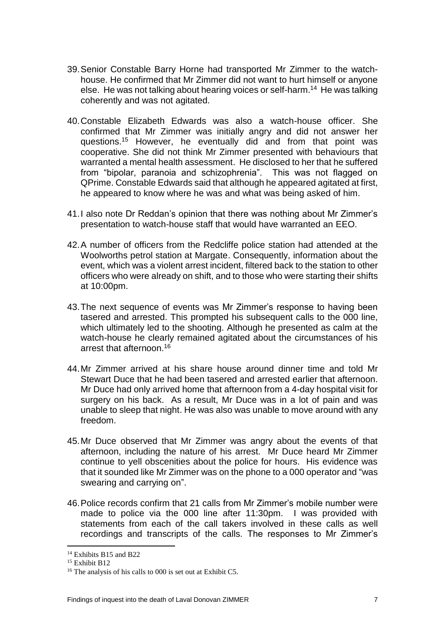- 39.Senior Constable Barry Horne had transported Mr Zimmer to the watchhouse. He confirmed that Mr Zimmer did not want to hurt himself or anyone else. He was not talking about hearing voices or self-harm.<sup>14</sup> He was talking coherently and was not agitated.
- 40.Constable Elizabeth Edwards was also a watch-house officer. She confirmed that Mr Zimmer was initially angry and did not answer her questions. <sup>15</sup> However, he eventually did and from that point was cooperative. She did not think Mr Zimmer presented with behaviours that warranted a mental health assessment. He disclosed to her that he suffered from "bipolar, paranoia and schizophrenia". This was not flagged on QPrime. Constable Edwards said that although he appeared agitated at first, he appeared to know where he was and what was being asked of him.
- 41.I also note Dr Reddan's opinion that there was nothing about Mr Zimmer's presentation to watch-house staff that would have warranted an EEO.
- 42.A number of officers from the Redcliffe police station had attended at the Woolworths petrol station at Margate. Consequently, information about the event, which was a violent arrest incident, filtered back to the station to other officers who were already on shift, and to those who were starting their shifts at 10:00pm.
- 43.The next sequence of events was Mr Zimmer's response to having been tasered and arrested. This prompted his subsequent calls to the 000 line, which ultimately led to the shooting. Although he presented as calm at the watch-house he clearly remained agitated about the circumstances of his arrest that afternoon.<sup>16</sup>
- 44.Mr Zimmer arrived at his share house around dinner time and told Mr Stewart Duce that he had been tasered and arrested earlier that afternoon. Mr Duce had only arrived home that afternoon from a 4-day hospital visit for surgery on his back. As a result, Mr Duce was in a lot of pain and was unable to sleep that night. He was also was unable to move around with any freedom.
- 45.Mr Duce observed that Mr Zimmer was angry about the events of that afternoon, including the nature of his arrest. Mr Duce heard Mr Zimmer continue to yell obscenities about the police for hours. His evidence was that it sounded like Mr Zimmer was on the phone to a 000 operator and "was swearing and carrying on".
- 46.Police records confirm that 21 calls from Mr Zimmer's mobile number were made to police via the 000 line after 11:30pm. I was provided with statements from each of the call takers involved in these calls as well recordings and transcripts of the calls. The responses to Mr Zimmer's

<sup>&</sup>lt;sup>14</sup> Exhibits B15 and B22

<sup>&</sup>lt;sup>15</sup> Exhibit B12

<sup>16</sup> The analysis of his calls to 000 is set out at Exhibit C5.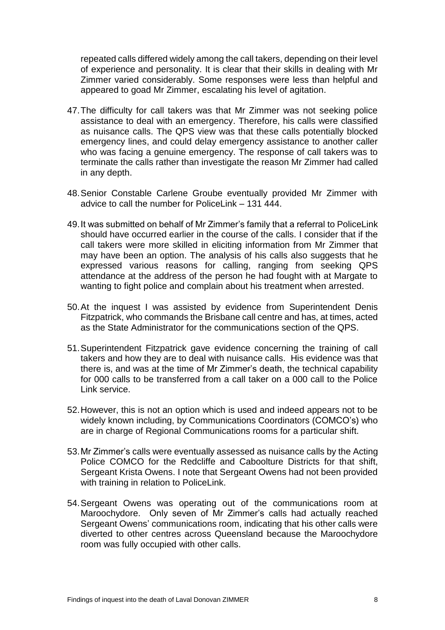repeated calls differed widely among the call takers, depending on their level of experience and personality. It is clear that their skills in dealing with Mr Zimmer varied considerably. Some responses were less than helpful and appeared to goad Mr Zimmer, escalating his level of agitation.

- 47.The difficulty for call takers was that Mr Zimmer was not seeking police assistance to deal with an emergency. Therefore, his calls were classified as nuisance calls. The QPS view was that these calls potentially blocked emergency lines, and could delay emergency assistance to another caller who was facing a genuine emergency. The response of call takers was to terminate the calls rather than investigate the reason Mr Zimmer had called in any depth.
- 48.Senior Constable Carlene Groube eventually provided Mr Zimmer with advice to call the number for PoliceLink  $-$  131 444.
- 49.It was submitted on behalf of Mr Zimmer's family that a referral to PoliceLink should have occurred earlier in the course of the calls. I consider that if the call takers were more skilled in eliciting information from Mr Zimmer that may have been an option. The analysis of his calls also suggests that he expressed various reasons for calling, ranging from seeking QPS attendance at the address of the person he had fought with at Margate to wanting to fight police and complain about his treatment when arrested.
- 50.At the inquest I was assisted by evidence from Superintendent Denis Fitzpatrick, who commands the Brisbane call centre and has, at times, acted as the State Administrator for the communications section of the QPS.
- 51.Superintendent Fitzpatrick gave evidence concerning the training of call takers and how they are to deal with nuisance calls. His evidence was that there is, and was at the time of Mr Zimmer's death, the technical capability for 000 calls to be transferred from a call taker on a 000 call to the Police Link service.
- 52.However, this is not an option which is used and indeed appears not to be widely known including, by Communications Coordinators (COMCO's) who are in charge of Regional Communications rooms for a particular shift.
- 53.Mr Zimmer's calls were eventually assessed as nuisance calls by the Acting Police COMCO for the Redcliffe and Caboolture Districts for that shift, Sergeant Krista Owens. I note that Sergeant Owens had not been provided with training in relation to PoliceLink.
- 54.Sergeant Owens was operating out of the communications room at Maroochydore. Only seven of Mr Zimmer's calls had actually reached Sergeant Owens' communications room, indicating that his other calls were diverted to other centres across Queensland because the Maroochydore room was fully occupied with other calls.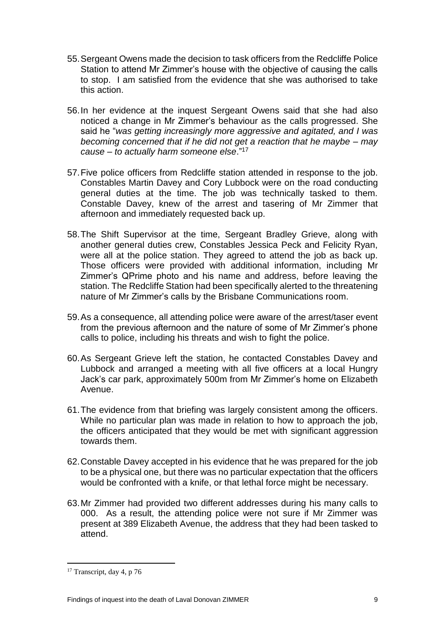- 55.Sergeant Owens made the decision to task officers from the Redcliffe Police Station to attend Mr Zimmer's house with the objective of causing the calls to stop. I am satisfied from the evidence that she was authorised to take this action.
- 56.In her evidence at the inquest Sergeant Owens said that she had also noticed a change in Mr Zimmer's behaviour as the calls progressed. She said he "*was getting increasingly more aggressive and agitated, and I was becoming concerned that if he did not get a reaction that he maybe – may cause – to actually harm someone else*." 17
- 57.Five police officers from Redcliffe station attended in response to the job. Constables Martin Davey and Cory Lubbock were on the road conducting general duties at the time. The job was technically tasked to them. Constable Davey, knew of the arrest and tasering of Mr Zimmer that afternoon and immediately requested back up.
- 58.The Shift Supervisor at the time, Sergeant Bradley Grieve, along with another general duties crew, Constables Jessica Peck and Felicity Ryan, were all at the police station. They agreed to attend the job as back up. Those officers were provided with additional information, including Mr Zimmer's QPrime photo and his name and address, before leaving the station. The Redcliffe Station had been specifically alerted to the threatening nature of Mr Zimmer's calls by the Brisbane Communications room.
- 59.As a consequence, all attending police were aware of the arrest/taser event from the previous afternoon and the nature of some of Mr Zimmer's phone calls to police, including his threats and wish to fight the police.
- 60.As Sergeant Grieve left the station, he contacted Constables Davey and Lubbock and arranged a meeting with all five officers at a local Hungry Jack's car park, approximately 500m from Mr Zimmer's home on Elizabeth Avenue.
- 61.The evidence from that briefing was largely consistent among the officers. While no particular plan was made in relation to how to approach the job, the officers anticipated that they would be met with significant aggression towards them.
- 62.Constable Davey accepted in his evidence that he was prepared for the job to be a physical one, but there was no particular expectation that the officers would be confronted with a knife, or that lethal force might be necessary.
- 63.Mr Zimmer had provided two different addresses during his many calls to 000. As a result, the attending police were not sure if Mr Zimmer was present at 389 Elizabeth Avenue, the address that they had been tasked to attend.

<sup>&</sup>lt;sup>17</sup> Transcript, day 4, p 76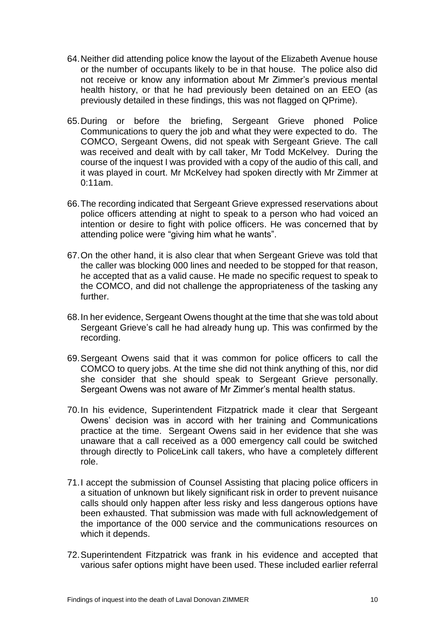- 64.Neither did attending police know the layout of the Elizabeth Avenue house or the number of occupants likely to be in that house. The police also did not receive or know any information about Mr Zimmer's previous mental health history, or that he had previously been detained on an EEO (as previously detailed in these findings, this was not flagged on QPrime).
- 65.During or before the briefing, Sergeant Grieve phoned Police Communications to query the job and what they were expected to do. The COMCO, Sergeant Owens, did not speak with Sergeant Grieve. The call was received and dealt with by call taker, Mr Todd McKelvey. During the course of the inquest I was provided with a copy of the audio of this call, and it was played in court. Mr McKelvey had spoken directly with Mr Zimmer at 0:11am.
- 66.The recording indicated that Sergeant Grieve expressed reservations about police officers attending at night to speak to a person who had voiced an intention or desire to fight with police officers. He was concerned that by attending police were "giving him what he wants".
- 67.On the other hand, it is also clear that when Sergeant Grieve was told that the caller was blocking 000 lines and needed to be stopped for that reason, he accepted that as a valid cause. He made no specific request to speak to the COMCO, and did not challenge the appropriateness of the tasking any further.
- 68.In her evidence, Sergeant Owens thought at the time that she was told about Sergeant Grieve's call he had already hung up. This was confirmed by the recording.
- 69.Sergeant Owens said that it was common for police officers to call the COMCO to query jobs. At the time she did not think anything of this, nor did she consider that she should speak to Sergeant Grieve personally. Sergeant Owens was not aware of Mr Zimmer's mental health status.
- 70.In his evidence, Superintendent Fitzpatrick made it clear that Sergeant Owens' decision was in accord with her training and Communications practice at the time. Sergeant Owens said in her evidence that she was unaware that a call received as a 000 emergency call could be switched through directly to PoliceLink call takers, who have a completely different role.
- 71.I accept the submission of Counsel Assisting that placing police officers in a situation of unknown but likely significant risk in order to prevent nuisance calls should only happen after less risky and less dangerous options have been exhausted. That submission was made with full acknowledgement of the importance of the 000 service and the communications resources on which it depends.
- 72.Superintendent Fitzpatrick was frank in his evidence and accepted that various safer options might have been used. These included earlier referral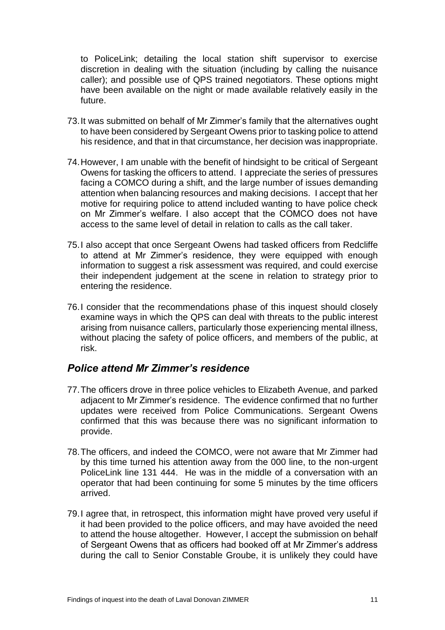to PoliceLink; detailing the local station shift supervisor to exercise discretion in dealing with the situation (including by calling the nuisance caller); and possible use of QPS trained negotiators. These options might have been available on the night or made available relatively easily in the future.

- 73.It was submitted on behalf of Mr Zimmer's family that the alternatives ought to have been considered by Sergeant Owens prior to tasking police to attend his residence, and that in that circumstance, her decision was inappropriate.
- 74.However, I am unable with the benefit of hindsight to be critical of Sergeant Owens for tasking the officers to attend. I appreciate the series of pressures facing a COMCO during a shift, and the large number of issues demanding attention when balancing resources and making decisions. I accept that her motive for requiring police to attend included wanting to have police check on Mr Zimmer's welfare. I also accept that the COMCO does not have access to the same level of detail in relation to calls as the call taker.
- 75.I also accept that once Sergeant Owens had tasked officers from Redcliffe to attend at Mr Zimmer's residence, they were equipped with enough information to suggest a risk assessment was required, and could exercise their independent judgement at the scene in relation to strategy prior to entering the residence.
- 76.I consider that the recommendations phase of this inquest should closely examine ways in which the QPS can deal with threats to the public interest arising from nuisance callers, particularly those experiencing mental illness, without placing the safety of police officers, and members of the public, at risk.

#### <span id="page-13-0"></span>*Police attend Mr Zimmer's residence*

- 77.The officers drove in three police vehicles to Elizabeth Avenue, and parked adjacent to Mr Zimmer's residence. The evidence confirmed that no further updates were received from Police Communications. Sergeant Owens confirmed that this was because there was no significant information to provide.
- 78.The officers, and indeed the COMCO, were not aware that Mr Zimmer had by this time turned his attention away from the 000 line, to the non-urgent PoliceLink line 131 444. He was in the middle of a conversation with an operator that had been continuing for some 5 minutes by the time officers arrived.
- 79.I agree that, in retrospect, this information might have proved very useful if it had been provided to the police officers, and may have avoided the need to attend the house altogether. However, I accept the submission on behalf of Sergeant Owens that as officers had booked off at Mr Zimmer's address during the call to Senior Constable Groube, it is unlikely they could have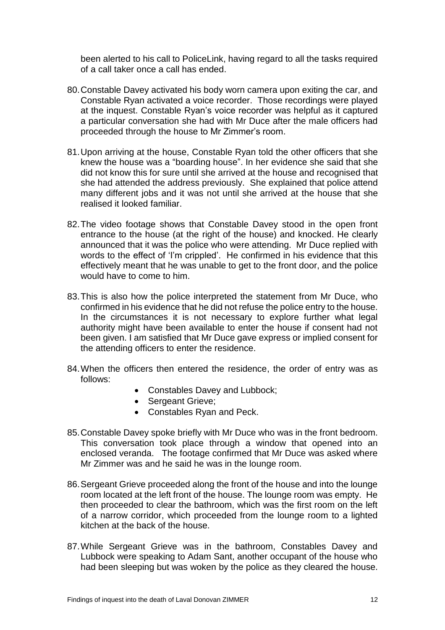been alerted to his call to PoliceLink, having regard to all the tasks required of a call taker once a call has ended.

- 80.Constable Davey activated his body worn camera upon exiting the car, and Constable Ryan activated a voice recorder. Those recordings were played at the inquest. Constable Ryan's voice recorder was helpful as it captured a particular conversation she had with Mr Duce after the male officers had proceeded through the house to Mr Zimmer's room.
- 81.Upon arriving at the house, Constable Ryan told the other officers that she knew the house was a "boarding house". In her evidence she said that she did not know this for sure until she arrived at the house and recognised that she had attended the address previously. She explained that police attend many different jobs and it was not until she arrived at the house that she realised it looked familiar.
- 82.The video footage shows that Constable Davey stood in the open front entrance to the house (at the right of the house) and knocked. He clearly announced that it was the police who were attending. Mr Duce replied with words to the effect of 'I'm crippled'. He confirmed in his evidence that this effectively meant that he was unable to get to the front door, and the police would have to come to him.
- 83.This is also how the police interpreted the statement from Mr Duce, who confirmed in his evidence that he did not refuse the police entry to the house. In the circumstances it is not necessary to explore further what legal authority might have been available to enter the house if consent had not been given. I am satisfied that Mr Duce gave express or implied consent for the attending officers to enter the residence.
- 84.When the officers then entered the residence, the order of entry was as follows:
	- Constables Davey and Lubbock;
	- Sergeant Grieve;
	- Constables Ryan and Peck.
- 85.Constable Davey spoke briefly with Mr Duce who was in the front bedroom. This conversation took place through a window that opened into an enclosed veranda. The footage confirmed that Mr Duce was asked where Mr Zimmer was and he said he was in the lounge room.
- 86.Sergeant Grieve proceeded along the front of the house and into the lounge room located at the left front of the house. The lounge room was empty. He then proceeded to clear the bathroom, which was the first room on the left of a narrow corridor, which proceeded from the lounge room to a lighted kitchen at the back of the house.
- 87.While Sergeant Grieve was in the bathroom, Constables Davey and Lubbock were speaking to Adam Sant, another occupant of the house who had been sleeping but was woken by the police as they cleared the house.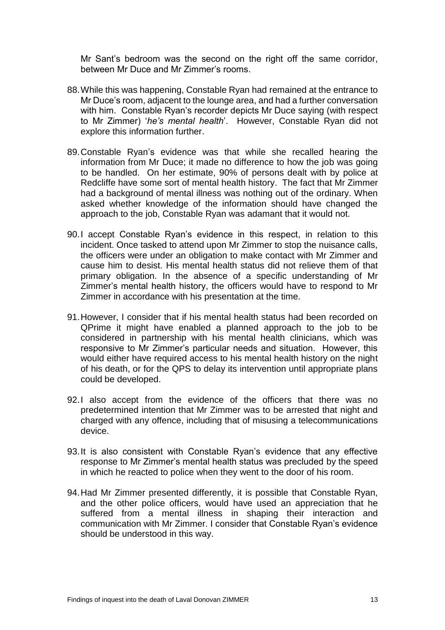Mr Sant's bedroom was the second on the right off the same corridor, between Mr Duce and Mr Zimmer's rooms.

- 88.While this was happening, Constable Ryan had remained at the entrance to Mr Duce's room, adjacent to the lounge area, and had a further conversation with him. Constable Ryan's recorder depicts Mr Duce saying (with respect to Mr Zimmer) '*he's mental health*'. However, Constable Ryan did not explore this information further.
- 89.Constable Ryan's evidence was that while she recalled hearing the information from Mr Duce; it made no difference to how the job was going to be handled. On her estimate, 90% of persons dealt with by police at Redcliffe have some sort of mental health history. The fact that Mr Zimmer had a background of mental illness was nothing out of the ordinary. When asked whether knowledge of the information should have changed the approach to the job, Constable Ryan was adamant that it would not.
- 90.I accept Constable Ryan's evidence in this respect, in relation to this incident. Once tasked to attend upon Mr Zimmer to stop the nuisance calls, the officers were under an obligation to make contact with Mr Zimmer and cause him to desist. His mental health status did not relieve them of that primary obligation. In the absence of a specific understanding of Mr Zimmer's mental health history, the officers would have to respond to Mr Zimmer in accordance with his presentation at the time.
- 91.However, I consider that if his mental health status had been recorded on QPrime it might have enabled a planned approach to the job to be considered in partnership with his mental health clinicians, which was responsive to Mr Zimmer's particular needs and situation. However, this would either have required access to his mental health history on the night of his death, or for the QPS to delay its intervention until appropriate plans could be developed.
- 92.I also accept from the evidence of the officers that there was no predetermined intention that Mr Zimmer was to be arrested that night and charged with any offence, including that of misusing a telecommunications device.
- 93.It is also consistent with Constable Ryan's evidence that any effective response to Mr Zimmer's mental health status was precluded by the speed in which he reacted to police when they went to the door of his room.
- 94.Had Mr Zimmer presented differently, it is possible that Constable Ryan, and the other police officers, would have used an appreciation that he suffered from a mental illness in shaping their interaction and communication with Mr Zimmer. I consider that Constable Ryan's evidence should be understood in this way.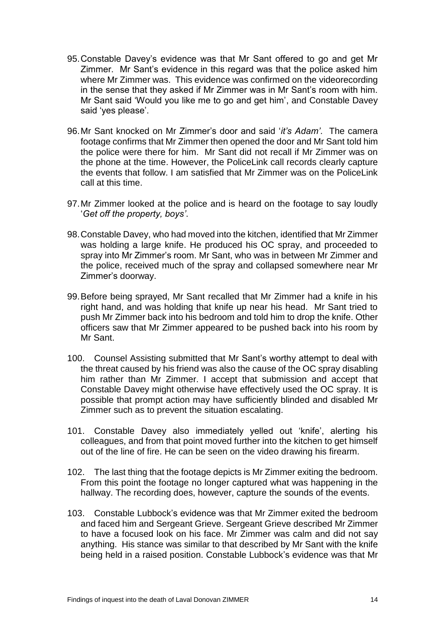- 95.Constable Davey's evidence was that Mr Sant offered to go and get Mr Zimmer. Mr Sant's evidence in this regard was that the police asked him where Mr Zimmer was. This evidence was confirmed on the videorecording in the sense that they asked if Mr Zimmer was in Mr Sant's room with him. Mr Sant said 'Would you like me to go and get him', and Constable Davey said 'yes please'.
- 96.Mr Sant knocked on Mr Zimmer's door and said '*it's Adam'*. The camera footage confirms that Mr Zimmer then opened the door and Mr Sant told him the police were there for him. Mr Sant did not recall if Mr Zimmer was on the phone at the time. However, the PoliceLink call records clearly capture the events that follow. I am satisfied that Mr Zimmer was on the PoliceLink call at this time.
- 97.Mr Zimmer looked at the police and is heard on the footage to say loudly '*Get off the property, boys'*.
- 98.Constable Davey, who had moved into the kitchen, identified that Mr Zimmer was holding a large knife. He produced his OC spray, and proceeded to spray into Mr Zimmer's room. Mr Sant, who was in between Mr Zimmer and the police, received much of the spray and collapsed somewhere near Mr Zimmer's doorway.
- 99.Before being sprayed, Mr Sant recalled that Mr Zimmer had a knife in his right hand, and was holding that knife up near his head. Mr Sant tried to push Mr Zimmer back into his bedroom and told him to drop the knife. Other officers saw that Mr Zimmer appeared to be pushed back into his room by Mr Sant.
- 100. Counsel Assisting submitted that Mr Sant's worthy attempt to deal with the threat caused by his friend was also the cause of the OC spray disabling him rather than Mr Zimmer. I accept that submission and accept that Constable Davey might otherwise have effectively used the OC spray. It is possible that prompt action may have sufficiently blinded and disabled Mr Zimmer such as to prevent the situation escalating.
- 101. Constable Davey also immediately yelled out 'knife', alerting his colleagues, and from that point moved further into the kitchen to get himself out of the line of fire. He can be seen on the video drawing his firearm.
- 102. The last thing that the footage depicts is Mr Zimmer exiting the bedroom. From this point the footage no longer captured what was happening in the hallway. The recording does, however, capture the sounds of the events.
- 103. Constable Lubbock's evidence was that Mr Zimmer exited the bedroom and faced him and Sergeant Grieve. Sergeant Grieve described Mr Zimmer to have a focused look on his face. Mr Zimmer was calm and did not say anything. His stance was similar to that described by Mr Sant with the knife being held in a raised position. Constable Lubbock's evidence was that Mr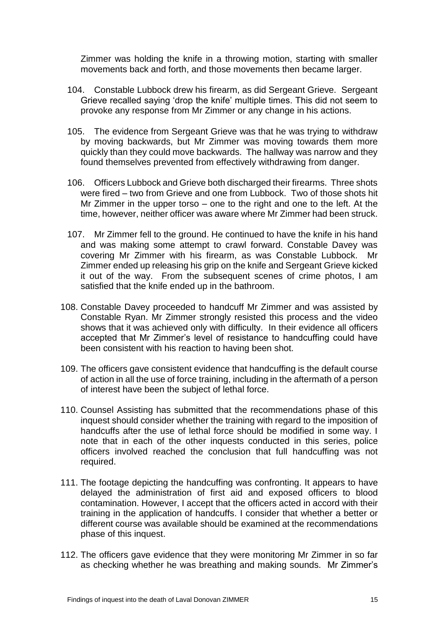Zimmer was holding the knife in a throwing motion, starting with smaller movements back and forth, and those movements then became larger.

- 104. Constable Lubbock drew his firearm, as did Sergeant Grieve. Sergeant Grieve recalled saying 'drop the knife' multiple times. This did not seem to provoke any response from Mr Zimmer or any change in his actions.
- 105. The evidence from Sergeant Grieve was that he was trying to withdraw by moving backwards, but Mr Zimmer was moving towards them more quickly than they could move backwards. The hallway was narrow and they found themselves prevented from effectively withdrawing from danger.
- 106. Officers Lubbock and Grieve both discharged their firearms. Three shots were fired – two from Grieve and one from Lubbock. Two of those shots hit Mr Zimmer in the upper torso – one to the right and one to the left. At the time, however, neither officer was aware where Mr Zimmer had been struck.
- 107. Mr Zimmer fell to the ground. He continued to have the knife in his hand and was making some attempt to crawl forward. Constable Davey was covering Mr Zimmer with his firearm, as was Constable Lubbock. Mr Zimmer ended up releasing his grip on the knife and Sergeant Grieve kicked it out of the way. From the subsequent scenes of crime photos, I am satisfied that the knife ended up in the bathroom.
- 108. Constable Davey proceeded to handcuff Mr Zimmer and was assisted by Constable Ryan. Mr Zimmer strongly resisted this process and the video shows that it was achieved only with difficulty. In their evidence all officers accepted that Mr Zimmer's level of resistance to handcuffing could have been consistent with his reaction to having been shot.
- 109. The officers gave consistent evidence that handcuffing is the default course of action in all the use of force training, including in the aftermath of a person of interest have been the subject of lethal force.
- 110. Counsel Assisting has submitted that the recommendations phase of this inquest should consider whether the training with regard to the imposition of handcuffs after the use of lethal force should be modified in some way. I note that in each of the other inquests conducted in this series, police officers involved reached the conclusion that full handcuffing was not required.
- 111. The footage depicting the handcuffing was confronting. It appears to have delayed the administration of first aid and exposed officers to blood contamination. However, I accept that the officers acted in accord with their training in the application of handcuffs. I consider that whether a better or different course was available should be examined at the recommendations phase of this inquest.
- 112. The officers gave evidence that they were monitoring Mr Zimmer in so far as checking whether he was breathing and making sounds. Mr Zimmer's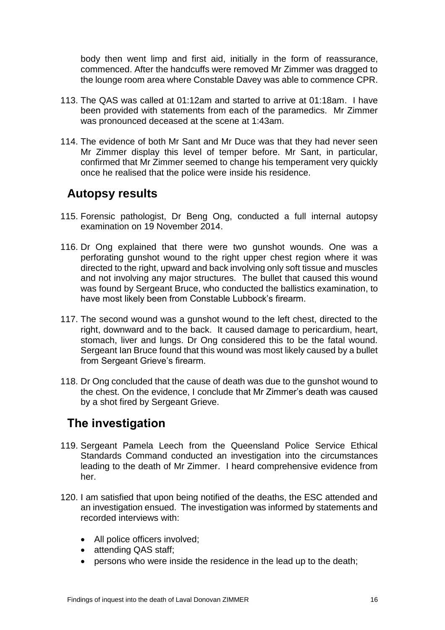body then went limp and first aid, initially in the form of reassurance, commenced. After the handcuffs were removed Mr Zimmer was dragged to the lounge room area where Constable Davey was able to commence CPR.

- 113. The QAS was called at 01:12am and started to arrive at 01:18am. I have been provided with statements from each of the paramedics. Mr Zimmer was pronounced deceased at the scene at 1:43am.
- 114. The evidence of both Mr Sant and Mr Duce was that they had never seen Mr Zimmer display this level of temper before. Mr Sant, in particular, confirmed that Mr Zimmer seemed to change his temperament very quickly once he realised that the police were inside his residence.

### <span id="page-18-0"></span>**Autopsy results**

- 115. Forensic pathologist, Dr Beng Ong, conducted a full internal autopsy examination on 19 November 2014.
- 116. Dr Ong explained that there were two gunshot wounds. One was a perforating gunshot wound to the right upper chest region where it was directed to the right, upward and back involving only soft tissue and muscles and not involving any major structures. The bullet that caused this wound was found by Sergeant Bruce, who conducted the ballistics examination, to have most likely been from Constable Lubbock's firearm.
- 117. The second wound was a gunshot wound to the left chest, directed to the right, downward and to the back. It caused damage to pericardium, heart, stomach, liver and lungs. Dr Ong considered this to be the fatal wound. Sergeant Ian Bruce found that this wound was most likely caused by a bullet from Sergeant Grieve's firearm.
- 118. Dr Ong concluded that the cause of death was due to the gunshot wound to the chest. On the evidence, I conclude that Mr Zimmer's death was caused by a shot fired by Sergeant Grieve.

## <span id="page-18-1"></span>**The investigation**

- 119. Sergeant Pamela Leech from the Queensland Police Service Ethical Standards Command conducted an investigation into the circumstances leading to the death of Mr Zimmer. I heard comprehensive evidence from her.
- 120. I am satisfied that upon being notified of the deaths, the ESC attended and an investigation ensued. The investigation was informed by statements and recorded interviews with:
	- All police officers involved;
	- attending QAS staff;
	- persons who were inside the residence in the lead up to the death;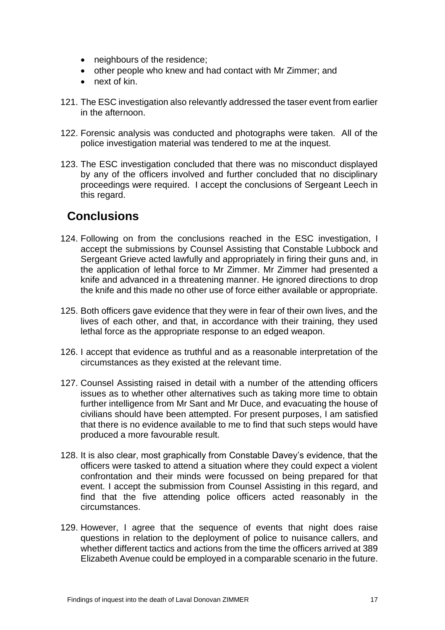- neighbours of the residence;
- other people who knew and had contact with Mr Zimmer; and
- next of kin.
- 121. The ESC investigation also relevantly addressed the taser event from earlier in the afternoon.
- 122. Forensic analysis was conducted and photographs were taken. All of the police investigation material was tendered to me at the inquest.
- 123. The ESC investigation concluded that there was no misconduct displayed by any of the officers involved and further concluded that no disciplinary proceedings were required. I accept the conclusions of Sergeant Leech in this regard.

## <span id="page-19-0"></span>**Conclusions**

- 124. Following on from the conclusions reached in the ESC investigation, I accept the submissions by Counsel Assisting that Constable Lubbock and Sergeant Grieve acted lawfully and appropriately in firing their guns and, in the application of lethal force to Mr Zimmer. Mr Zimmer had presented a knife and advanced in a threatening manner. He ignored directions to drop the knife and this made no other use of force either available or appropriate.
- 125. Both officers gave evidence that they were in fear of their own lives, and the lives of each other, and that, in accordance with their training, they used lethal force as the appropriate response to an edged weapon.
- 126. I accept that evidence as truthful and as a reasonable interpretation of the circumstances as they existed at the relevant time.
- 127. Counsel Assisting raised in detail with a number of the attending officers issues as to whether other alternatives such as taking more time to obtain further intelligence from Mr Sant and Mr Duce, and evacuating the house of civilians should have been attempted. For present purposes, I am satisfied that there is no evidence available to me to find that such steps would have produced a more favourable result.
- 128. It is also clear, most graphically from Constable Davey's evidence, that the officers were tasked to attend a situation where they could expect a violent confrontation and their minds were focussed on being prepared for that event. I accept the submission from Counsel Assisting in this regard, and find that the five attending police officers acted reasonably in the circumstances.
- 129. However, I agree that the sequence of events that night does raise questions in relation to the deployment of police to nuisance callers, and whether different tactics and actions from the time the officers arrived at 389 Elizabeth Avenue could be employed in a comparable scenario in the future.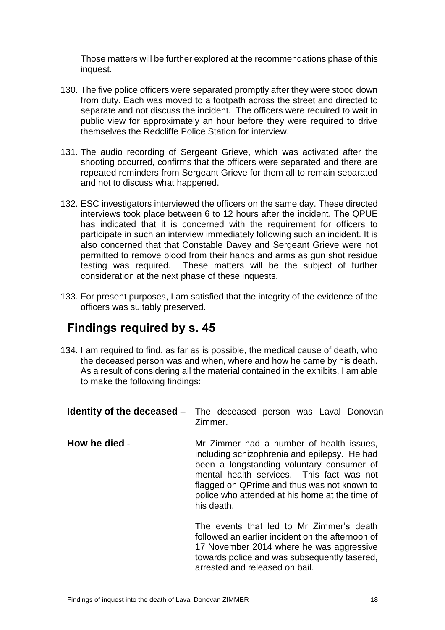Those matters will be further explored at the recommendations phase of this inquest.

- 130. The five police officers were separated promptly after they were stood down from duty. Each was moved to a footpath across the street and directed to separate and not discuss the incident. The officers were required to wait in public view for approximately an hour before they were required to drive themselves the Redcliffe Police Station for interview.
- 131. The audio recording of Sergeant Grieve, which was activated after the shooting occurred, confirms that the officers were separated and there are repeated reminders from Sergeant Grieve for them all to remain separated and not to discuss what happened.
- 132. ESC investigators interviewed the officers on the same day. These directed interviews took place between 6 to 12 hours after the incident. The QPUE has indicated that it is concerned with the requirement for officers to participate in such an interview immediately following such an incident. It is also concerned that that Constable Davey and Sergeant Grieve were not permitted to remove blood from their hands and arms as gun shot residue testing was required. These matters will be the subject of further consideration at the next phase of these inquests.
- 133. For present purposes, I am satisfied that the integrity of the evidence of the officers was suitably preserved.

## <span id="page-20-0"></span>**Findings required by s. 45**

134. I am required to find, as far as is possible, the medical cause of death, who the deceased person was and when, where and how he came by his death. As a result of considering all the material contained in the exhibits, I am able to make the following findings:

|               | <b>Identity of the deceased</b> – The deceased person was Laval Donovan<br>Zimmer.                                                                                                                                                                                                                |
|---------------|---------------------------------------------------------------------------------------------------------------------------------------------------------------------------------------------------------------------------------------------------------------------------------------------------|
| How he died - | Mr Zimmer had a number of health issues,<br>including schizophrenia and epilepsy. He had<br>been a longstanding voluntary consumer of<br>mental health services. This fact was not<br>flagged on QPrime and thus was not known to<br>police who attended at his home at the time of<br>his death. |
|               | The events that led to Mr Zimmer's death<br>followed an earlier incident on the afternoon of<br>17 November 2014 where he was aggressive<br>towards police and was subsequently tasered,                                                                                                          |

arrested and released on bail.